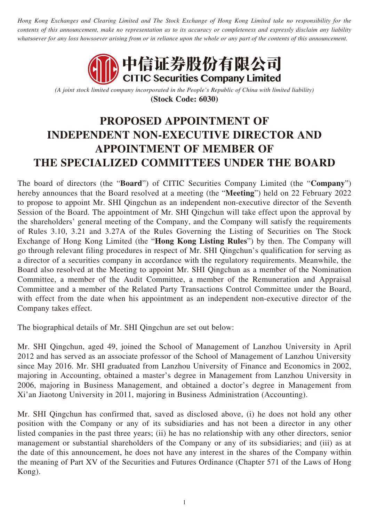*Hong Kong Exchanges and Clearing Limited and The Stock Exchange of Hong Kong Limited take no responsibility for the contents of this announcement, make no representation as to its accuracy or completeness and expressly disclaim any liability whatsoever for any loss howsoever arising from or in reliance upon the whole or any part of the contents of this announcement.*



*(A joint stock limited company incorporated in the People's Republic of China with limited liability)* **(Stock Code: 6030)**

## **PROPOSED APPOINTMENT OF INDEPENDENT NON-EXECUTIVE DIRECTOR AND APPOINTMENT OF MEMBER OF THE SPECIALIZED COMMITTEES UNDER THE BOARD**

The board of directors (the "**Board**") of CITIC Securities Company Limited (the "**Company**") hereby announces that the Board resolved at a meeting (the "**Meeting**") held on 22 February 2022 to propose to appoint Mr. SHI Qingchun as an independent non-executive director of the Seventh Session of the Board. The appointment of Mr. SHI Qingchun will take effect upon the approval by the shareholders' general meeting of the Company, and the Company will satisfy the requirements of Rules 3.10, 3.21 and 3.27A of the Rules Governing the Listing of Securities on The Stock Exchange of Hong Kong Limited (the "**Hong Kong Listing Rules**") by then. The Company will go through relevant filing procedures in respect of Mr. SHI Qingchun's qualification for serving as a director of a securities company in accordance with the regulatory requirements. Meanwhile, the Board also resolved at the Meeting to appoint Mr. SHI Qingchun as a member of the Nomination Committee, a member of the Audit Committee, a member of the Remuneration and Appraisal Committee and a member of the Related Party Transactions Control Committee under the Board, with effect from the date when his appointment as an independent non-executive director of the Company takes effect.

The biographical details of Mr. SHI Qingchun are set out below:

Mr. SHI Qingchun, aged 49, joined the School of Management of Lanzhou University in April 2012 and has served as an associate professor of the School of Management of Lanzhou University since May 2016. Mr. SHI graduated from Lanzhou University of Finance and Economics in 2002, majoring in Accounting, obtained a master's degree in Management from Lanzhou University in 2006, majoring in Business Management, and obtained a doctor's degree in Management from Xi'an Jiaotong University in 2011, majoring in Business Administration (Accounting).

Mr. SHI Qingchun has confirmed that, saved as disclosed above, (i) he does not hold any other position with the Company or any of its subsidiaries and has not been a director in any other listed companies in the past three years; (ii) he has no relationship with any other directors, senior management or substantial shareholders of the Company or any of its subsidiaries; and (iii) as at the date of this announcement, he does not have any interest in the shares of the Company within the meaning of Part XV of the Securities and Futures Ordinance (Chapter 571 of the Laws of Hong Kong).